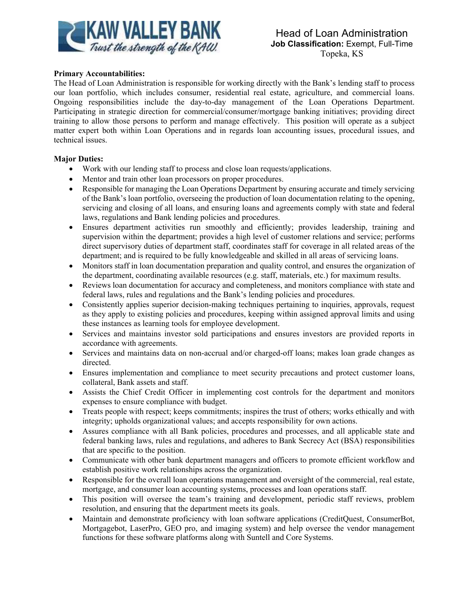

## **Primary Accountabilities:**

The Head of Loan Administration is responsible for working directly with the Bank's lending staff to process our loan portfolio, which includes consumer, residential real estate, agriculture, and commercial loans. Ongoing responsibilities include the day-to-day management of the Loan Operations Department. Participating in strategic direction for commercial/consumer/mortgage banking initiatives; providing direct training to allow those persons to perform and manage effectively. This position will operate as a subject matter expert both within Loan Operations and in regards loan accounting issues, procedural issues, and technical issues.

## **Major Duties:**

- Work with our lending staff to process and close loan requests/applications.
- Mentor and train other loan processors on proper procedures.
- Responsible for managing the Loan Operations Department by ensuring accurate and timely servicing of the Bank's loan portfolio, overseeing the production of loan documentation relating to the opening, servicing and closing of all loans, and ensuring loans and agreements comply with state and federal laws, regulations and Bank lending policies and procedures.
- Ensures department activities run smoothly and efficiently; provides leadership, training and supervision within the department; provides a high level of customer relations and service; performs direct supervisory duties of department staff, coordinates staff for coverage in all related areas of the department; and is required to be fully knowledgeable and skilled in all areas of servicing loans.
- Monitors staff in loan documentation preparation and quality control, and ensures the organization of the department, coordinating available resources (e.g. staff, materials, etc.) for maximum results.
- Reviews loan documentation for accuracy and completeness, and monitors compliance with state and federal laws, rules and regulations and the Bank's lending policies and procedures.
- Consistently applies superior decision-making techniques pertaining to inquiries, approvals, request as they apply to existing policies and procedures, keeping within assigned approval limits and using these instances as learning tools for employee development.
- Services and maintains investor sold participations and ensures investors are provided reports in accordance with agreements.
- Services and maintains data on non-accrual and/or charged-off loans; makes loan grade changes as directed.
- Ensures implementation and compliance to meet security precautions and protect customer loans, collateral, Bank assets and staff.
- Assists the Chief Credit Officer in implementing cost controls for the department and monitors expenses to ensure compliance with budget.
- Treats people with respect; keeps commitments; inspires the trust of others; works ethically and with integrity; upholds organizational values; and accepts responsibility for own actions.
- Assures compliance with all Bank policies, procedures and processes, and all applicable state and federal banking laws, rules and regulations, and adheres to Bank Secrecy Act (BSA) responsibilities that are specific to the position.
- Communicate with other bank department managers and officers to promote efficient workflow and establish positive work relationships across the organization.
- Responsible for the overall loan operations management and oversight of the commercial, real estate, mortgage, and consumer loan accounting systems, processes and loan operations staff.
- This position will oversee the team's training and development, periodic staff reviews, problem resolution, and ensuring that the department meets its goals.
- Maintain and demonstrate proficiency with loan software applications (CreditQuest, ConsumerBot, Mortgagebot, LaserPro, GEO pro, and imaging system) and help oversee the vendor management functions for these software platforms along with Suntell and Core Systems.